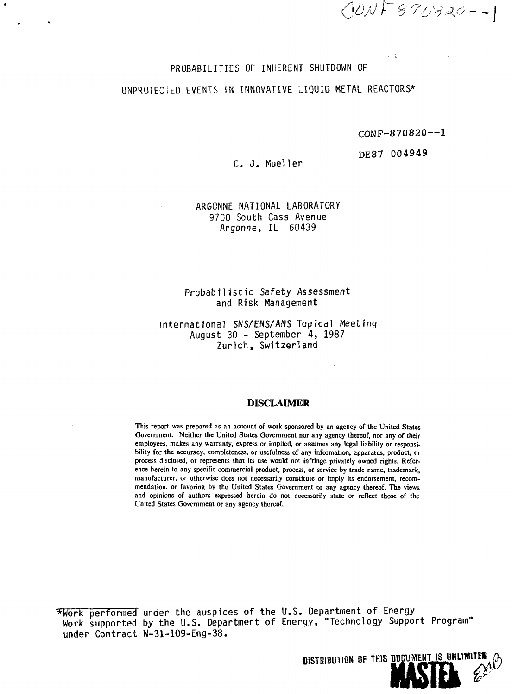OONF-870920--1

#### PROBABILITIES OF INHERENT SHUTDOWN OF

# UNPROTECTED EVENTS IN INNOVATIVE LIQUID METAL REACTORS\*

CONF-870820—1

DE87 004949

 $\sim$  1.

## C. J. Mueller

## ARGONNE NATIONAL LABORATORY 9700 South Cass Avenue Argonne, IL 60439

### Probabilistic Safety Assessment and Risk Management

#### International SNS/ENS/ANS Topical Meeting August 30 - September 4, 1987 Zurich, Switzerland

#### **DISCLAIMER**

This report was prepared as an account of work sponsored by an agency of the United States Government. Neither the United States Government nor any agency thereof, nor any of their employees, makes any warranty, express or implied, or assumes any legal liability or responsibility for the accuracy, completeness, or usefulness of any information, apparatus, product, or process disclosed, or represents that its use would not infringe privately owned rights. Reference herein to any specific commercial product, process, or service by trade name, trademark, manufacturer, or otherwise does not necessarily constitute or imply its endorsement, recommendation, or favoring by the United States Government or any agency thereof. The views and opinions of authors expressed herein do not necessarily state or reflect those of the United States Government or any agency thereof.

\*Work performed under the auspices of the U.S. Department of Energy Work supported by the U.S. Department of Energy, "Technology Support Program" under Contract W-31-109-Eng-38.

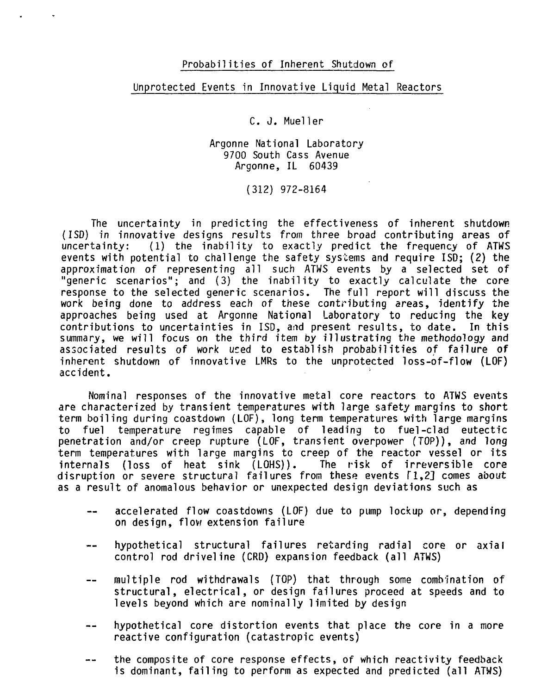### Probabilities of Inherent Shutdown of

### Unprotected Events in Innovative Liquid Metal Reactors

C. J. Mueller

Argonne National Laboratory 9700 South Cass Avenue Argonne, IL 60439

(312) 972-8164

The uncertainty in predicting the effectiveness of inherent shutdown (ISD) in innovative designs results from three broad contributing areas of (1) the inability to exactly predict the frequency of ATWS events with potential to challenge the safety systems and require ISD; (2) the approximation of representing all such ATWS events by a selected set of "generic scenarios"; and (3) the inability to exactly calculate the core response to the selected generic scenarios. The full report will discuss the work being done to address each of these contributing areas, identify the approaches being used at Argonne National Laboratory to reducing the key contributions to uncertainties in ISD, and present results, to date. In this summary, we will focus on the third item by illustrating the methodology and associated results of work used to establish probabilities of failure of inherent shutdown of innovative LMRs to the unprotected loss-of-flow (LOF) accident.

Nominal responses of the innovative metal core reactors to ATWS events are characterized by transient temperatures with large safety margins to short term boiling during coastdown (LOF), long term temperatures with large margins to fuel temperature regimes capable of leading to fuel-clad eutectic penetration and/or creep rupture (LOF, transient overpower (TOP)), and long term temperatures with large margins to creep of the reactor vessel or its<br>internals (loss of heat sink (LOHS)). The risk of irreversible core internals (loss of heat sink  $(LOHS)$ ). disruption or severe structural failures from these events fl,2] comes about as a result of anomalous behavior or unexpected design deviations such as

- accelerated flow coastdowns (LOF) due to pump lockup or, depending on design, flow extension failure
- hypothetical structural failures retarding radial core or axial control rod driveline (CRD) expansion feedback (all ATWS)
- multiple rod withdrawals (TOP) that through some combination of  $-$ structural, electrical, or design failures proceed at speeds and to levels beyond which are nominally limited by design
- hypothetical core distortion events that place the core in a more reactive configuration (catastropic events)
- the composite of core response effects, of which reactivity feedback  $\sim$   $\sim$ is dominant, failing to perform as expected and predicted (all ATWS)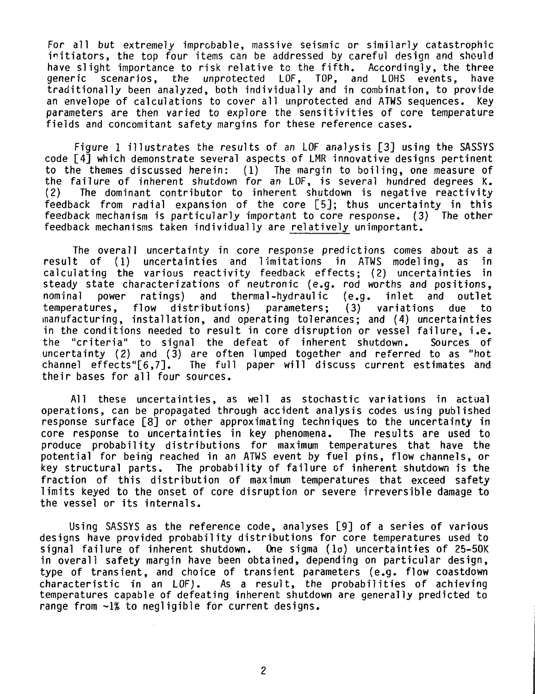For all but extremely improbable, massive seismic or similarly catastrophic initiators, the top four items can be addressed by careful design and should have slight importance to risk relative to the fifth. Accordingly, the three<br>generic scenarios, the unprotected LOF, TOP, and LOHS events, have generic scenarios, the unprotected LOF, TOP, and LOHS events, have traditionally been analyzed, both individually and in combination, to provide an envelope of calculations to cover all unprotected and ATMS sequences. Key parameters are then varied to explore the sensitivities of core temperature fields and concomitant safety margins for these reference cases.

Figure 1 illustrates the results of an LOF analysis [3] using the SASSYS code [4] which demonstrate several aspects of LMR innovative designs pertinent to the themes discussed herein: (1) The margin to boiling, one measure of the failure of inherent shutdown for an LOF, is several hundred degrees K.<br>(2) The dominant contributor to inherent shutdown is negative reactivity The dominant contributor to inherent shutdown is negative reactivity feedback from radial expansion of the core [5]; thus uncertainty in this feedback mechanism is particularly important to core response. (3) The other feedback mechanisms taken individually are relatively unimportant.

The overall uncertainty in core response predictions comes about as a<br>t of (1) uncertainties and limitations in ATWS modeling, as in result of (1) uncertainties and limitations in ATWS modeling, as in calculating the various reactivity feedback effects; (2) uncertainties in steady state characterizations of neutronic (e.g. rod worths and positions, nominal power ratings) and thermal-hydraulic (e.g. inlet and outlet temperatures, flow distributions) parameters; (3) variations due to manufacturing, installation, and operating tolerances; and (4) uncertainties in the conditions needed to result in core disruption or vessel failure, i.e. the "criteria" to signal the defeat of inherent shutdown. Sources of uncertainty (2) and (3) are often lumped together and referred to as "hot channel effects"[6,7]. The full paper will discuss current estimates and The full paper will discuss current estimates and their bases for all four sources.

All these uncertainties, as well as stochastic variations in actual operations, can be propagated through accident analysis codes using published response surface [8] or other approximating techniques to the uncertainty in core response to uncertainties in key phenomena. The results are used to produce probability distributions for maximum temperatures that have the potential for being reached in an ATWS event by fuel pins, flow channels, or key structural parts. The probability of failure of inherent shutdown is the fraction of this distribution of maximum temperatures that exceed safety limits keyed to the onset of core disruption or severe irreversible damage to the vessel or its internals.

Using SASSYS as the reference code, analyses [9] of a series of various designs have provided probability distributions for core temperatures used to signal failure of inherent shutdown. One sigma  $(1\sigma)$  uncertainties of 25-50K in overall safety margin have been obtained, depending on particular design, type of transient, and choice of transient parameters (e.g. flow coastdown characteristic in an LOF). As a result, the probabilities of achieving temperatures capable of defeating inherent shutdown are generally predicted to range from ~1% to negligible for current designs.

 $\overline{c}$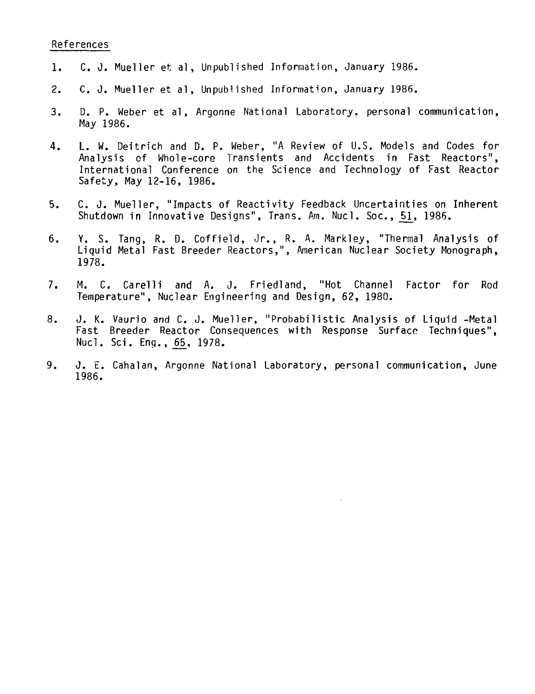#### References

- 1. C. J. Mueller et al, Unpublished Information, January 1986.
- 2. C. J. Mueller et al, Unpublished Information, January 1986.
- 3. D. P. Weber et al, Argonne National Laboratory, personal communication, May 1986.
- 4. L. W. Deitrich and D. P. Weber, "A Review of U.S. Models and Codes for Analysis of Whole-core Transients and Accidents in Fast Reactors", International Conference on the Science and Technology of Fast Reactor Safety, May 12-16, 1986.
- 5. C. J. Mueller, "Impacts of Reactivity Feedback Uncertainties on Inherent Shutdown in Innovative Designs", Trans. Am. Nucl. Soc., 51, 1986.
- 6. Y. S. Tang, R. D. Coffield, Jr., R. A. Markley, "Thermal Analysis of Liquid Metal Fast Breeder Reactors,", American Nuclear Society Monograph, 1978.
- 7. M. C. Carelli and A. J. Friedland, "Hot Channel Factor for Rod Temperature", Nuclear Engineering and Design, 62, 1980.
- 8. J. K. Vaurio and C. J. Mueller, "Probabilistic Analysis of Liquid -Metal Fast Breeder Reactor Consequences with Response Surface Techniques", Nucl. Sci. Eng., 6S\_, 1978.
- 9. J. E. Cahalan, Argonne National Laboratory, personal communication, June 1986.